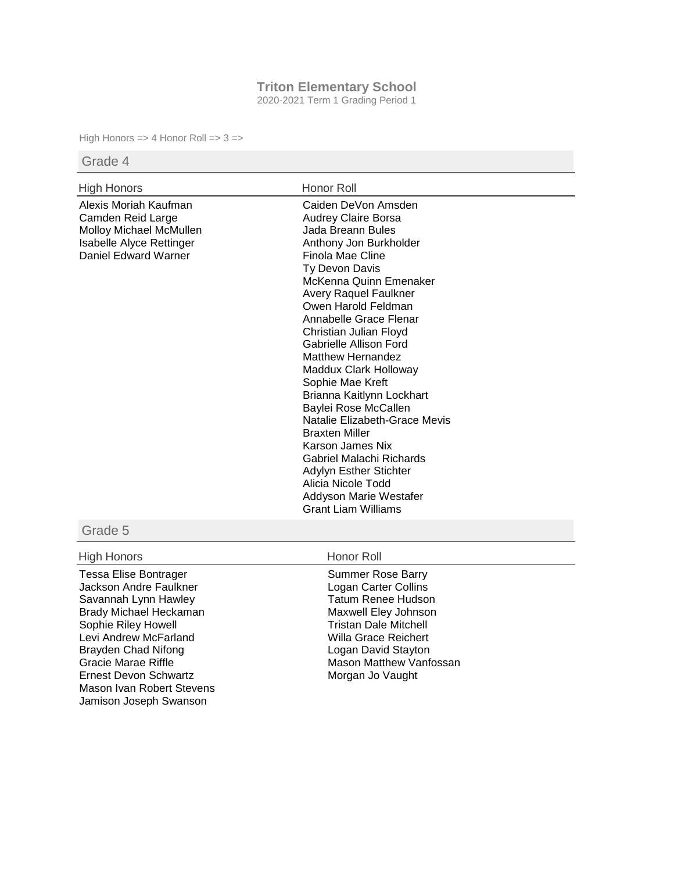### **Triton Elementary School**

2020-2021 Term 1 Grading Period 1

High Honors => 4 Honor Roll => 3 =>

## Grade 4

# High Honors **Honor Roll**

Alexis Moriah Kaufman Camden Reid Large Molloy Michael McMullen Isabelle Alyce Rettinger Daniel Edward Warner

Caiden DeVon Amsden Audrey Claire Borsa Jada Breann Bules Anthony Jon Burkholder Finola Mae Cline Ty Devon Davis McKenna Quinn Emenaker Avery Raquel Faulkner Owen Harold Feldman Annabelle Grace Flenar Christian Julian Floyd Gabrielle Allison Ford Matthew Hernandez Maddux Clark Holloway Sophie Mae Kreft Brianna Kaitlynn Lockhart Baylei Rose McCallen Natalie Elizabeth-Grace Mevis Braxten Miller Karson James Nix Gabriel Malachi Richards Adylyn Esther Stichter Alicia Nicole Todd Addyson Marie Westafer Grant Liam Williams

### Grade 5

## High Honors **Honor Roll**

Tessa Elise Bontrager Jackson Andre Faulkner Savannah Lynn Hawley Brady Michael Heckaman Sophie Riley Howell Levi Andrew McFarland Brayden Chad Nifong Gracie Marae Riffle Ernest Devon Schwartz Mason Ivan Robert Stevens Jamison Joseph Swanson

Summer Rose Barry Logan Carter Collins Tatum Renee Hudson Maxwell Eley Johnson Tristan Dale Mitchell Willa Grace Reichert Logan David Stayton Mason Matthew Vanfossan Morgan Jo Vaught